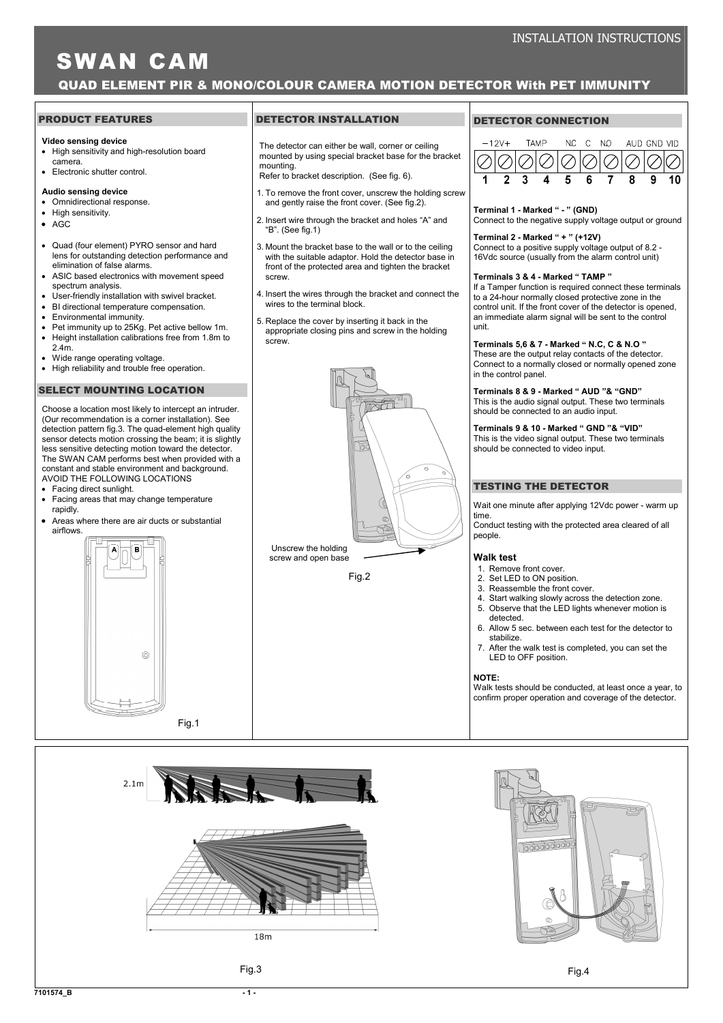# SWAN CAM

# QUAD ELEMENT PIR & MONO/COLOUR CAMERA MOTION DETECTOR With PET IMMUNITY

#### PRODUCT FEATURES

#### Video sensing device

- High sensitivity and high-resolution board camera.
- Electronic shutter control.

### Audio sensing device

- Omnidirectional response.
- High sensitivity
- AGC
- Quad (four element) PYRO sensor and hard lens for outstanding detection performance and elimination of false alarms.
- ASIC based electronics with movement speed spectrum analysis.
- User-friendly installation with swivel bracket.
- BI directional temperature compensation.
- Environmental immunity.
- Pet immunity up to 25Kg. Pet active bellow 1m. • Height installation calibrations free from 1.8m to
- 2.4m.
- Wide range operating voltage.
- High reliability and trouble free operation.

#### SELECT MOUNTING LOCATION

Choose a location most likely to intercept an intruder. (Our recommendation is a corner installation). See detection pattern fig.3. The quad-element high quality sensor detects motion crossing the beam; it is slightly less sensitive detecting motion toward the detector. The SWAN CAM performs best when provided with a constant and stable environment and background. AVOID THE FOLLOWING LOCATIONS

- Facing direct sunlight.
- Facing areas that may change temperature rapidly.
- Areas where there are air ducts or substantial airflows.



#### DETECTOR INSTALLATION

The detector can either be wall, corner or ceiling mounted by using special bracket base for the bracket mounting.

Refer to bracket description. (See fig. 6).

- 1. To remove the front cover, unscrew the holding screw and gently raise the front cover. (See fig.2).
- 2. Insert wire through the bracket and holes "A" and "B". (See fig.1)
- 3. Mount the bracket base to the wall or to the ceiling with the suitable adaptor. Hold the detector base in front of the protected area and tighten the bracket screw.
- 4. Insert the wires through the bracket and connect the wires to the terminal block.
- 5. Replace the cover by inserting it back in the appropriate closing pins and screw in the holding screw.



## DETECTOR CONNECTION



#### Terminal 1 - Marked " - " (GND)

Connect to the negative supply voltage output or ground

# Terminal 2 - Marked " + " (+12V)

Connect to a positive supply voltage output of 8.2 - 16Vdc source (usually from the alarm control unit)

#### Terminals 3 & 4 - Marked " TAMP "

If a Tamper function is required connect these terminals to a 24-hour normally closed protective zone in the control unit. If the front cover of the detector is opened, an immediate alarm signal will be sent to the control unit.

#### Terminals 5,6 & 7 - Marked " N.C, C & N.O "

These are the output relay contacts of the detector. Connect to a normally closed or normally opened zone in the control panel.

Terminals 8 & 9 - Marked " AUD "& "GND"

This is the audio signal output. These two terminals should be connected to an audio input.

Terminals 9 & 10 - Marked " GND "& "VID"

This is the video signal output. These two terminals should be connected to video input.

## TESTING THE DETECTOR

Wait one minute after applying 12Vdc power - warm up time.

Conduct testing with the protected area cleared of all people.

#### Walk tost

- 1. Remove front cover.
- 2. Set LED to ON position.
- 3. Reassemble the front cover.
- 4. Start walking slowly across the detection zone.
- 5. Observe that the LED lights whenever motion is detected.
- 6. Allow 5 sec. between each test for the detector to stabilize.
- 7. After the walk test is completed, you can set the LED to OFF position.

#### NOTE:

Walk tests should be conducted, at least once a year, to confirm proper operation and coverage of the detector.